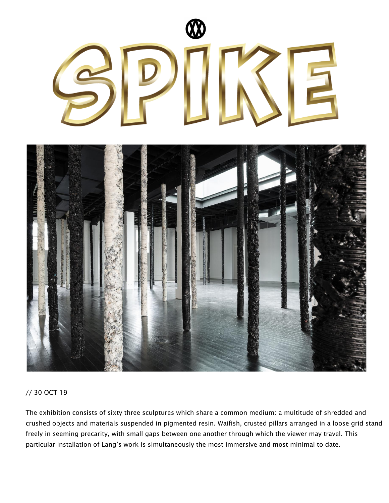

## // 30 OCT 19

The exhibition consists of sixty three sculptures which share a common medium: a multitude of shredded and crushed objects and materials suspended in pigmented resin. Waifish, crusted pillars arranged in a loose grid stand freely in seeming precarity, with small gaps between one another through which the viewer may travel. This particular installation of Lang's work is simultaneously the most immersive and most minimal to date.